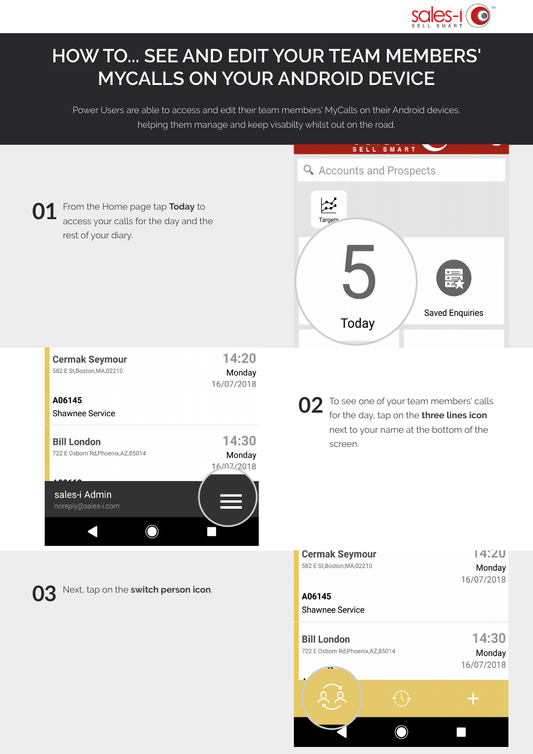

## **HOW TO... SEE AND EDIT YOUR TEAM MEMBERS' MYCALLS ON YOUR ANDROID DEVICE**

Power Users are able to access and edit their team members' MyCalls on their Android devices. helping them manage and keep visabilty whilst out on the road.